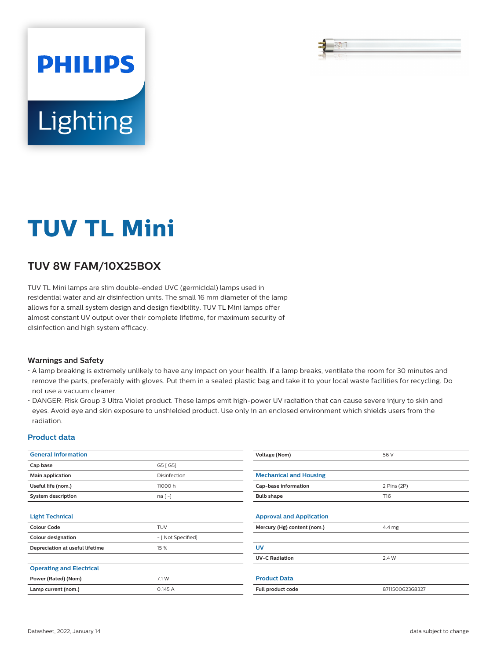# **PHILIPS** Lighting

## **TUV TL Mini**

### **TUV 8W FAM/10X25BOX**

TUV TL Mini lamps are slim double-ended UVC (germicidal) lamps used in residential water and air disinfection units. The small 16 mm diameter of the lamp allows for a small system design and design flexibility. TUV TL Mini lamps offer almost constant UV output over their complete lifetime, for maximum security of disinfection and high system efficacy.

#### **Warnings and Safety**

- A lamp breaking is extremely unlikely to have any impact on your health. If a lamp breaks, ventilate the room for 30 minutes and remove the parts, preferably with gloves. Put them in a sealed plastic bag and take it to your local waste facilities for recycling. Do not use a vacuum cleaner.
- DANGER: Risk Group 3 Ultra Violet product. These lamps emit high-power UV radiation that can cause severe injury to skin and eyes. Avoid eye and skin exposure to unshielded product. Use only in an enclosed environment which shields users from the radiation.

#### **Product data**

| <b>General Information</b>      |                    | Voltage (Nom)                         | 56 V            |
|---------------------------------|--------------------|---------------------------------------|-----------------|
| Cap base                        | G5 [G5]            |                                       |                 |
| Main application                | Disinfection       | <b>Mechanical and Housing</b>         |                 |
| Useful life (nom.)              | 11000 h            | Cap-base information<br>2 Pins (2P)   |                 |
| <b>System description</b>       | $na[-]$            | <b>Bulb shape</b>                     | T16             |
|                                 |                    |                                       |                 |
| <b>Light Technical</b>          |                    | <b>Approval and Application</b>       |                 |
| <b>Colour Code</b>              | <b>TUV</b>         | Mercury (Hg) content (nom.)<br>4.4 mg |                 |
| <b>Colour designation</b>       | - [ Not Specified] |                                       |                 |
| Depreciation at useful lifetime | 15 %               | <b>UV</b>                             |                 |
|                                 |                    | <b>UV-C Radiation</b>                 | 2.4 W           |
| <b>Operating and Electrical</b> |                    |                                       |                 |
| Power (Rated) (Nom)             | 7.1 W              | <b>Product Data</b>                   |                 |
| Lamp current (nom.)             | 0.145A             | Full product code                     | 871150062368327 |
|                                 |                    |                                       |                 |